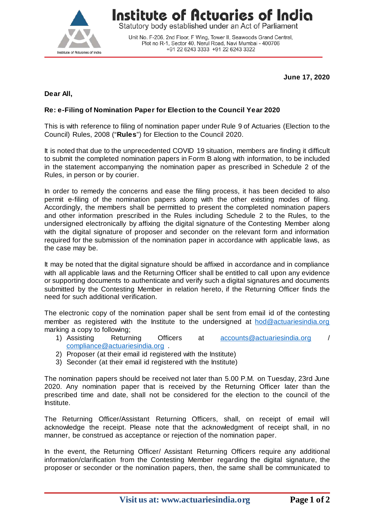

## Institute of Actuaries of India

Statutory body established under an Act of Parliament

Unit No. F-206, 2nd Floor, F Wing, Tower II, Seawoods Grand Central, Plot no R-1, Sector 40, Nerul Road, Navi Mumbai - 400706 +91 22 6243 3333 +91 22 6243 3322

**June 17, 2020**

## **Dear All,**

## **Re: e-Filing of Nomination Paper for Election to the Council Year 2020**

This is with reference to filing of nomination paper under Rule 9 of Actuaries (Election to the Council) Rules, 2008 ("**Rules**") for Election to the Council 2020.

It is noted that due to the unprecedented COVID 19 situation, members are finding it difficult to submit the completed nomination papers in Form B along with information, to be included in the statement accompanying the nomination paper as prescribed in Schedule 2 of the Rules, in person or by courier.

In order to remedy the concerns and ease the filing process, it has been decided to also permit e-filing of the nomination papers along with the other existing modes of filing. Accordingly, the members shall be permitted to present the completed nomination papers and other information prescribed in the Rules including Schedule 2 to the Rules, to the undersigned electronically by affixing the digital signature of the Contesting Member along with the digital signature of proposer and seconder on the relevant form and information required for the submission of the nomination paper in accordance with applicable laws, as the case may be.

It may be noted that the digital signature should be affixed in accordance and in compliance with all applicable laws and the Returning Officer shall be entitled to call upon any evidence or supporting documents to authenticate and verify such a digital signatures and documents submitted by the Contesting Member in relation hereto, if the Returning Officer finds the need for such additional verification.

The electronic copy of the nomination paper shall be sent from email id of the contesting member as registered with the Institute to the undersigned at [hod@actuariesindia.org](mailto:hod@actuariesindia.org) marking a copy to following;

- 1) Assisting Returning Officers at [accounts@actuariesindia.org](mailto:accounts@actuariesindia.org) / [compliance@actuariesindia.org](mailto:compliance@actuariesindia.org) .
- 2) Proposer (at their email id registered with the Institute)
- 3) Seconder (at their email id registered with the Institute)

The nomination papers should be received not later than 5.00 P.M. on Tuesday, 23rd June 2020. Any nomination paper that is received by the Returning Officer later than the prescribed time and date, shall not be considered for the election to the council of the Institute.

The Returning Officer/Assistant Returning Officers, shall, on receipt of email will acknowledge the receipt. Please note that the acknowledgment of receipt shall, in no manner, be construed as acceptance or rejection of the nomination paper.

In the event, the Returning Officer/ Assistant Returning Officers require any additional information/clarification from the Contesting Member regarding the digital signature, the proposer or seconder or the nomination papers, then, the same shall be communicated to